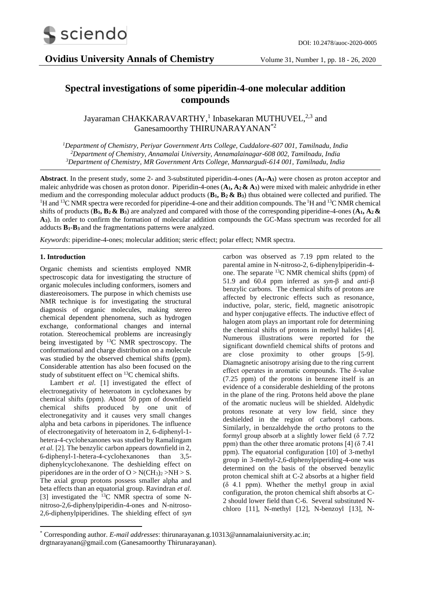

# **Spectral investigations of some piperidin-4-one molecular addition compounds**

Jayaraman CHAKKARAVARTHY,<sup>1</sup> Inbasekaran MUTHUVEL,<sup>2,3</sup> and Ganesamoorthy THIRUNARAYANAN<sup>\*2</sup>

*<sup>1</sup>Department of Chemistry, Periyar Government Arts College, Cuddalore-607 001, Tamilnadu, India <sup>2</sup>Department of Chemistry, Annamalai University, Annamalainagar-608 002, Tamilnadu, India <sup>3</sup>Department of Chemistry, MR Government Arts College, Mannargudi-614 001, Tamilnadu, India*

**Abstract**. In the present study, some 2- and 3-substituted piperidin-4-ones (**A1-A3**) were chosen as proton acceptor and maleic anhydride was chosen as proton donor. Piperidin-4-ones (**A1, A2 & A3**) were mixed with maleic anhydride in ether medium and the corresponding molecular adduct products (**B1, B2 & B3**) thus obtained were collected and purified. The <sup>1</sup>H and <sup>13</sup>C NMR spectra were recorded for piperidine-4-one and their addition compounds. The <sup>1</sup>H and <sup>13</sup>C NMR chemical shifts of products (**B1, B2 & B3**) are analyzed and compared with those of the corresponding piperidine-4-ones (**A1, A2 & A3**). In order to confirm the formation of molecular addition compounds the GC-Mass spectrum was recorded for all adducts **B1-B<sup>3</sup>** and the fragmentations patterns were analyzed.

*Keywords*: piperidine-4-ones; molecular addition; steric effect; polar effect; NMR spectra.

### **1. Introduction**

Organic chemists and scientists employed NMR spectroscopic data for investigating the structure of organic molecules including conformers, isomers and diastereoisomers. The purpose in which chemists use NMR technique is for investigating the structural diagnosis of organic molecules, making stereo chemical dependent phenomena, such as hydrogen exchange, conformational changes and internal rotation. Stereochemical problems are increasingly being investigated by  $^{13}$ C NMR spectroscopy. The conformational and charge distribution on a molecule was studied by the observed chemical shifts (ppm). Considerable attention has also been focused on the study of substituent effect on <sup>13</sup>C chemical shifts.

Lambert *et al*. [1] investigated the effect of electronegativity of heteroatom in cyclohexanes by chemical shifts (ppm). About 50 ppm of downfield chemical shifts produced by one unit of electronegativity and it causes very small changes alpha and beta carbons in piperidones. The influence of electronegativity of heteroatom in 2, 6-diphenyl-1 hetera-4-cyclohexanones was studied by Ramalingam *et al.* [2]. The benzylic carbon appears downfield in 2, 6-diphenyl-1-hetera-4-cyclohexanones than 3,5 diphenylcyclohexanone. The deshielding effect on piperidones are in the order of  $O > N(CH_3)_2 > NH > S$ . The axial group protons possess smaller alpha and beta effects than an equatorial group. Ravindran *et al.* [3] investigated the  $^{13}$ C NMR spectra of some Nnitroso-2,6-diphenylpiperidin-4-ones and N-nitroso-2,6-diphenylpiperidines. The shielding effect of *syn*

carbon was observed as 7.19 ppm related to the parental amine in N-nitroso-2, 6-diphenylpiperidin-4 one. The separate <sup>13</sup>C NMR chemical shifts (ppm) of 51.9 and 60.4 ppm inferred as *syn*-β and *anti*-β benzylic carbons. The chemical shifts of protons are affected by electronic effects such as resonance, inductive, polar, steric, field, magnetic anisotropic and hyper conjugative effects. The inductive effect of halogen atom plays an important role for determining the chemical shifts of protons in methyl halides [4]. Numerous illustrations were reported for the significant downfield chemical shifts of protons and are close proximity to other groups [5-9]. Diamagnetic anisotropy arising due to the ring current effect operates in aromatic compounds. The δ-value (7.25 ppm) of the protons in benzene itself is an evidence of a considerable deshielding of the protons in the plane of the ring. Protons held above the plane of the aromatic nucleus will be shielded. Aldehydic protons resonate at very low field, since they deshielded in the region of carbonyl carbons. Similarly, in benzaldehyde the *ortho* protons to the formyl group absorb at a slightly lower field (δ 7.72 ppm) than the other three aromatic protons  $[4]$  ( $\delta$  7.41 ppm). The equatorial configuration [10] of 3-methyl group in 3-methyl-2,6-diphenylpiperiding-4-one was determined on the basis of the observed benzylic proton chemical shift at C-2 absorbs at a higher field (δ 4.1 ppm). Whether the methyl group in axial configuration, the proton chemical shift absorbs at C-2 should lower field than C-6. Several substituted Nchloro [11], N-methyl [12], N-benzoyl [13], N-

<sup>1</sup> \* Corresponding author. *E-mail addresses*: thirunarayanan.g.10313@annamalaiuniversity.ac.in; drgtnarayanan@gmail.com (Ganesamoorthy Thirunarayanan).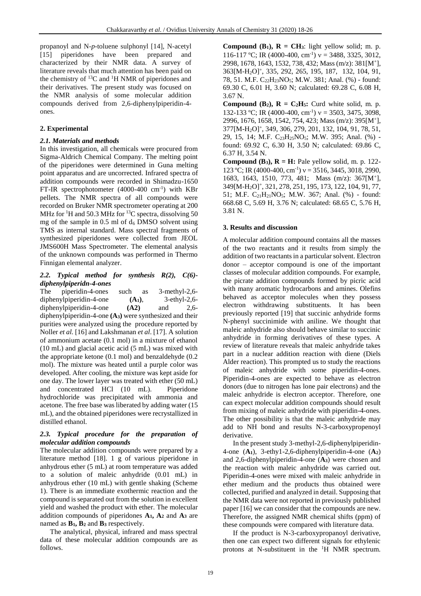propanoyl and N-*p*-toluene sulphonyl [14], N-acetyl [15] piperidones have been prepared and characterized by their NMR data. A survey of literature reveals that much attention has been paid on the chemistry of  ${}^{13}C$  and  ${}^{1}H$  NMR of piperidones and their derivatives. The present study was focused on the NMR analysis of some molecular addition compounds derived from 2,6-diphenylpiperidin-4 ones.

# **2. Experimental**

# *2.1. Materials and methods*

In this investigation, all chemicals were procured from Sigma-Aldrich Chemical Company. The melting point of the piperidones were determined in Guna melting point apparatus and are uncorrected. Infrared spectra of addition compounds were recorded in Shimadzu-1650 FT-IR spectrophotometer (4000-400 cm<sup>-1</sup>) with KBr pellets. The NMR spectra of all compounds were recorded on Bruker NMR spectrometer operating at 200 MHz for  ${}^{1}$ H and 50.3 MHz for  ${}^{13}$ C spectra, dissolving 50 mg of the sample in 0.5 ml of  $d_6$  DMSO solvent using TMS as internal standard. Mass spectral fragments of synthesized piperidones were collected from JEOL JMS600H Mass Spectrometer. The elemental analysis of the unknown compounds was performed in Thermo Finnigan elemental analyzer.

### *2.2. Typical method for synthesis R(2), C(6) diphenylpiperidn-4-ones*

The piperidin-4-ones such as 3-methyl-2,6 diphenylpiperidin-4-one **(A1)**, 3-ethyl-2,6 diphenylpiperidin-4-one **(A2)** and 2,6 diphenylpiperidin-4-one **(A3)** were synthesized and their purities were analyzed using the procedure reported by Noller *et al.* [16] and Lakshmanan *et al*. [17]. A solution of ammonium acetate (0.1 mol) in a mixture of ethanol (10 mL) and glacial acetic acid (5 mL) was mixed with the appropriate ketone (0.1 mol) and benzaldehyde (0.2 mol). The mixture was heated until a purple color was developed. After cooling, the mixture was kept aside for one day. The lower layer was treated with ether (50 mL) and concentrated HCl (10 mL). Piperidone hydrochloride was precipitated with ammonia and acetone. The free base was liberated by adding water (15 mL), and the obtained piperidones were recrystallized in distilled ethanol.

### *2.3. Typical procedure for the preparation of molecular addition compounds*

The molecular addition compounds were prepared by a literature method [18]. 1 g of various piperidone in anhydrous ether (5 mL) at room temperature was added to a solution of maleic anhydride (0.01 mL) in anhydrous ether (10 mL) with gentle shaking (Scheme 1). There is an immediate exothermic reaction and the compound is separated out from the solution in excellent yield and washed the product with ether. The molecular addition compounds of piperidones **A1, A<sup>2</sup>** and **A<sup>3</sup>** are named as **B1, B<sup>2</sup>** and **B<sup>3</sup>** respectively.

The analytical, physical, infrared and mass spectral data of these molecular addition compounds are as follows.

**Compound (B<sub>1</sub>),**  $\mathbf{R} = \mathbf{C} \mathbf{H}$ **<sub>3</sub>: light yellow solid; m. p.** 116-117 °C; IR (4000-400, cm<sup>-1</sup>)  $v = 3488, 3325, 3012,$ 2998, 1678, 1643, 1532, 738, 432; Mass (m/z): 381[M<sup>+</sup> ], 363[M-H2O]<sup>+</sup> , 335, 292, 265, 195, 187, 132, 104, 91, 78, 51. M.F. C22H23NO5; M.W. 381; Anal. (%) - found: 69.30 C, 6.01 H, 3.60 N; calculated: 69.28 C, 6.08 H, 3.67 N.

**Compound (B<sub>2</sub>),**  $R = C_2H_5$ **: Curd white solid, m. p.** 132-133 °C; IR (4000-400, cm<sup>-1</sup>)  $v = 3503$ , 3475, 3098, 2996, 1676, 1658, 1542, 754, 423; Mass (m/z): 395[M<sup>+</sup> ], 377[M-H2O]<sup>+</sup> , 349, 306, 279, 201, 132, 104, 91, 78, 51, 29, 15, 14; M.F. C<sub>23</sub>H<sub>25</sub>NO<sub>5</sub>; M.W. 395; Anal. (%) found: 69.92 C, 6.30 H, 3.50 N; calculated: 69.86 C, 6.37 H, 3.54 N.

**Compound (B<sub>3</sub>),**  $\mathbf{R} = \mathbf{H}$ **: Pale yellow solid, m. p. 122-**123 °C; IR (4000-400, cm<sup>-1</sup>)  $v = 3516$ , 3445, 3018, 2990, 1683, 1643, 1510, 773, 481; Mass (m/z): 367[M<sup>+</sup> ], 349[M-H2O]<sup>+</sup> , 321, 278, 251, 195, 173, 122, 104, 91, 77, 51; M.F.  $C_{21}H_{21}NO_5$ ; M.W. 367; Anal. (%) - found: 668.68 C, 5.69 H, 3.76 N; calculated: 68.65 C, 5.76 H, 3.81 N.

# **3. Results and discussion**

A molecular addition compound contains all the masses of the two reactants and it results from simply the addition of two reactants in a particular solvent. Electron donor – acceptor compound is one of the important classes of molecular addition compounds. For example, the picrate addition compounds formed by picric acid with many aromatic hydrocarbons and amines. Olefins behaved as acceptor molecules when they possess electron withdrawing substituents. It has been previously reported [19] that succinic anhydride forms N-phenyl succinimide with aniline. We thought that maleic anhydride also should behave similar to succinic anhydride in forming derivatives of these types. A review of literature reveals that maleic anhydride takes part in a nuclear addition reaction with diene (Diels Alder reaction). This prompted us to study the reactions of maleic anhydride with some piperidin-4-ones. Piperidin-4-ones are expected to behave as electron donors (due to nitrogen has lone pair electrons) and the maleic anhydride is electron acceptor. Therefore, one can expect molecular addition compounds should result from mixing of maleic anhydride with piperidin-4-ones. The other possibility is that the maleic anhydride may add to NH bond and results N-3-carboxypropenoyl derivative.

In the present study 3-methyl-2,6-diphenylpiperidin-4-one (**A1**), 3-ethy1-2,6-diphenylpiperidin-4-one (**A2**) and 2,6-diphenylpiperidin-4-one (**A3**) were chosen and the reaction with maleic anhydride was carried out. Piperidin-4-ones were mixed with maleic anhydride in ether medium and the products thus obtained were collected, purified and analyzed in detail. Supposing that the NMR data were not reported in previously published paper [16] we can consider that the compounds are new. Therefore, the assigned NMR chemical shifts (ppm) of these compounds were compared with literature data.

If the product is N-3-carboxypropanoyl derivative, then one can expect two different signals for ethylenic protons at N-substituent in the  ${}^{1}H$  NMR spectrum.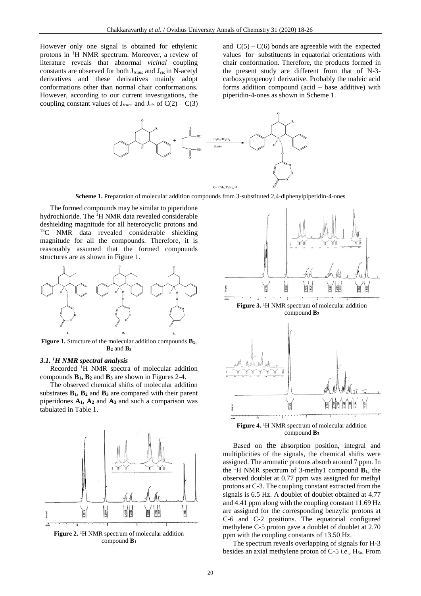However only one signal is obtained for ethylenic protons in <sup>1</sup>H NMR spectrum. Moreover, a review of literature reveals that abnormal *vicinal* coupling constants are observed for both J*trans* and J*cis* in N-acetyl derivatives and these derivatives mainly adopt conformations other than normal chair conformations. However, according to our current investigations, the coupling constant values of  $J_{trans}$  and  $J_{cis}$  of  $C(2) - C(3)$ 

and  $C(5) - C(6)$  bonds are agreeable with the expected values for substituents in equatorial orientations with chair conformation. Therefore, the products formed in the present study are different from that of N-3 carboxypropenoy1 derivative. Probably the maleic acid forms addition compound (acid – base additive) with piperidin-4-ones as shown in Scheme 1.



**Scheme 1.** Preparation of molecular addition compounds from 3-substituted 2,4-diphenylpiperidin-4-ones

The formed compounds may be similar to piperidone hydrochloride. The <sup>1</sup>H NMR data revealed considerable deshielding magnitude for all heterocyclic protons and  $13C$  NMR data revealed considerable shielding magnitude for all the compounds. Therefore, it is reasonably assumed that the formed compounds structures are as shown in Figure 1.



**Figure 1.** Structure of the molecular addition compounds **B1**, **B<sup>2</sup>** and **B<sup>3</sup>**

#### *3.1. <sup>1</sup>H NMR spectral analysis*

Recorded <sup>1</sup>H NMR spectra of molecular addition compounds **B1, B<sup>2</sup>** and **B<sup>3</sup>** are shown in Figures 2-4.

The observed chemical shifts of molecular addition substrates **B1, B<sup>2</sup>** and **B<sup>3</sup>** are compared with their parent piperidones **A1, A<sup>2</sup>** and **A<sup>3</sup>** and such a comparison was tabulated in Table 1.



**Figure 2.** <sup>1</sup>H NMR spectrum of molecular addition compound **B<sup>1</sup>**



**Figure 3.** <sup>1</sup>H NMR spectrum of molecular addition compound **B<sup>2</sup>**



compound **B<sup>3</sup>**

Based on the absorption position, integral and multiplicities of the signals, the chemical shifts were assigned. The aromatic protons absorb around 7 ppm. In the <sup>1</sup>H NMR spectrum of 3-methy1 compound  $\mathbf{B}_1$ , the observed doublet at 0.77 ppm was assigned for methyl protons at C-3. The coupling constant extracted from the signals is 6.5 Hz. A doublet of doublet obtained at 4.77 and 4.41 ppm along with the coupling constant 11.69 Hz are assigned for the corresponding benzylic protons at C-6 and C-2 positions. The equatorial configured methylene C-5 proton gave a doublet of doublet at 2.70 ppm with the coupling constants of 13.50 Hz.

The spectrum reveals overlapping of signals for H-3 besides an axial methylene proton of C-5 *i.e.*, H<sub>5a</sub>. From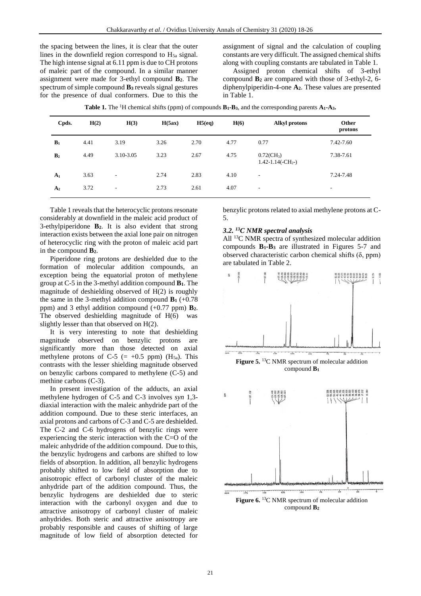the spacing between the lines, it is clear that the outer lines in the downfield region correspond to  $H_{5a}$  signal. The high intense signal at 6.11 ppm is due to CH protons of maleic part of the compound. In a similar manner assignment were made for 3-ethyl compound **B2**. The spectrum of simple compound **B<sup>3</sup>** reveals signal gestures for the presence of dual conformers. Due to this the

assignment of signal and the calculation of coupling constants are very difficult. The assigned chemical shifts along with coupling constants are tabulated in Table 1.

Assigned proton chemical shifts of 3-ethyl compound **B<sup>2</sup>** are compared with those of 3-ethyl-2, 6 diphenylpiperidin-4-one **A2**. These values are presented in Table 1.

|  |  |  | <b>Table 1.</b> The <sup>1</sup> H chemical shifts (ppm) of compounds $B_1 - B_3$ , and the corresponding parents $A_1 - A_3$ . |
|--|--|--|---------------------------------------------------------------------------------------------------------------------------------|
|--|--|--|---------------------------------------------------------------------------------------------------------------------------------|

| Cpds.          | H(2) | H(3)      | H(5ax) | H5(eq) | H(6) | <b>Alkyl protons</b>                              | Other<br>protons |
|----------------|------|-----------|--------|--------|------|---------------------------------------------------|------------------|
| $B_1$          | 4.41 | 3.19      | 3.26   | 2.70   | 4.77 | 0.77                                              | 7.42-7.60        |
| B <sub>2</sub> | 4.49 | 3.10-3.05 | 3.23   | 2.67   | 4.75 | $0.72$ (CH <sub>3</sub> )<br>$1.42 - 1.14(-CH2-)$ | 7.38-7.61        |
| $A_1$          | 3.63 | ٠         | 2.74   | 2.83   | 4.10 | $\overline{\phantom{a}}$                          | 7.24-7.48        |
| A <sub>2</sub> | 3.72 | -         | 2.73   | 2.61   | 4.07 | ٠                                                 | ۰                |

Table 1 reveals that the heterocyclic protons resonate considerably at downfield in the maleic acid product of 3-ethylpiperidone **B2**. It is also evident that strong interaction exists between the axial lone pair on nitrogen of heterocyclic ring with the proton of maleic acid part in the compound **B2**.

Piperidone ring protons are deshielded due to the formation of molecular addition compounds, an exception being the equatorial proton of methylene group at C-5 in the 3-methyl addition compound **B1**. The magnitude of deshielding observed of H(2) is roughly the same in the 3-methyl addition compound  $\mathbf{B}_1$  (+0.78) ppm) and 3 ethyl addition compound (+0.77 ppm) **B2**. The observed deshielding magnitude of H(6) was slightly lesser than that observed on H(2).

It is very interesting to note that deshielding magnitude observed on benzylic protons are significantly more than those detected on axial methylene protons of C-5 (= +0.5 ppm) ( $H<sub>5a</sub>$ ). This contrasts with the lesser shielding magnitude observed on benzylic carbons compared to methylene (C-5) and methine carbons (C-3).

In present investigation of the adducts, an axial methylene hydrogen of C-5 and C-3 involves *syn* 1,3 diaxial interaction with the maleic anhydride part of the addition compound. Due to these steric interfaces, an axial protons and carbons of C-3 and C-5 are deshielded. The C-2 and C-6 hydrogens of benzylic rings were experiencing the steric interaction with the C=O of the maleic anhydride of the addition compound. Due to this, the benzylic hydrogens and carbons are shifted to low fields of absorption. In addition, all benzylic hydrogens probably shifted to low field of absorption due to anisotropic effect of carbonyl cluster of the maleic anhydride part of the addition compound. Thus, the benzylic hydrogens are deshielded due to steric interaction with the carbonyl oxygen and due to attractive anisotropy of carbonyl cluster of maleic anhydrides. Both steric and attractive anisotropy are probably responsible and causes of shifting of large magnitude of low field of absorption detected for benzylic protons related to axial methylene protons at C-5.

### *3.2. <sup>13</sup>C NMR spectral analysis*

All <sup>13</sup>C NMR spectra of synthesized molecular addition compounds **B1-B<sup>3</sup>** are illustrated in Figures 5-7 and observed characteristic carbon chemical shifts (δ, ppm) are tabulated in Table 2.





compound **B2**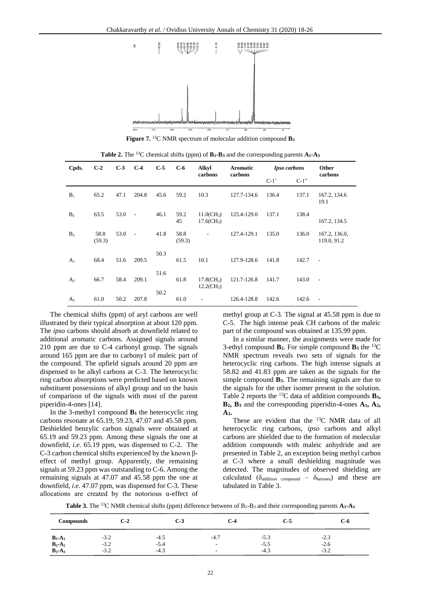

**Figure 7.** <sup>13</sup>C NMR spectrum of molecular addition compound **B<sup>3</sup>**

| Cpds.          | $C-2$          | $C-3$ | $C-4$                    | $C-5$ | $C-6$          | <b>Alkyl</b><br>carbons                     | Aromatic<br>carbons | <b>Ipso carbons</b> |         | Other<br>carbons             |  |
|----------------|----------------|-------|--------------------------|-------|----------------|---------------------------------------------|---------------------|---------------------|---------|------------------------------|--|
|                |                |       |                          |       |                |                                             |                     | $C-1$               | $C-1$ " |                              |  |
| $B_1$          | 65.2           | 47.1  | 204.8                    | 45.6  | 59.2           | 10.3                                        | 127.7-134.6         | 136.4               | 137.1   | 167.2, 134.6<br>19.1         |  |
| B <sub>2</sub> | 63.5           | 53.0  | $\sim$                   | 46.1  | 59.2<br>45     | $11.0$ (CH <sub>3</sub> )<br>$17.6$ $CH2$ ) | 125.4-129.0         | 137.1               | 138.4   | 167.2, 134.5                 |  |
| $B_3$          | 58.8<br>(59.3) | 53.0  | $\overline{\phantom{a}}$ | 41.8  | 58.8<br>(59.3) |                                             | 127.4-129.1         | 135.0               | 136.0   | 167.2, 136.0,<br>119.0, 91.2 |  |
| A <sub>1</sub> | 68.4           | 51.6  | 209.5                    | 50.3  | 61.5           | 10.1                                        | 127.9-128.6         | 141.8               | 142.7   | $\sim$                       |  |
| A <sub>2</sub> | 66.7           | 58.4  | 209.1                    | 51.6  | 61.8           | $17.8$ $CH2$ )<br>$12.2$ (CH <sub>2</sub> ) | 121.7-126.8         | 141.7               | 143.0   | $\overline{\phantom{a}}$     |  |
| $A_3$          | 61.0           | 50.2  | 207.8                    | 50.2  | 61.0           |                                             | 126.4-128.8         | 142.6               | 142.6   | $\overline{\phantom{a}}$     |  |

**Table 2.** The <sup>13</sup>C chemical shifts (ppm) of **B1-B<sup>3</sup>** and the corresponding parents **A1-A<sup>3</sup>**

The chemical shifts (ppm) of aryl carbons are well illustrated by their typical absorption at about 120 ppm. The *ipso* carbons should absorb at downfield related to additional aromatic carbons. Assigned signals around 210 ppm are due to C-4 carbonyl group. The signals around 165 ppm are due to carbony1 of maleic part of the compound. The upfield signals around 20 ppm are dispensed to be alkyl carbons at C-3. The heterocyclic ring carbon absorptions were predicted based on known substituent possessions of alkyl group and on the basis of comparison of the signals with most of the parent piperidin-4-ones [14].

In the 3-methy1 compound **B<sup>1</sup>** the heterocyclic ring carbons resonate at 65.19, 59.23, 47.07 and 45.58 ppm. Deshielded benzylic carbon signals were obtained at 65.19 and 59.23 ppm. Among these signals the one at downfield, *i.e.* 65.19 ppm, was dispensed to C-2. The C-3 carbon chemical shifts experienced by the known βeffect of methyl group. Apparently, the remaining signals at 59.23 ppm was outstanding to C-6. Among the remaining signals at 47.07 and 45.58 ppm the one at downfield, *i.e.* 47.07 ppm, was dispensed for C-3. These allocations are created by the notorious  $\alpha$ -effect of methyl group at C-3. The signal at 45.58 ppm is due to C-5. The high intense peak CH carbons of the maleic part of the compound was obtained at 135.99 ppm.

In a similar manner, the assignments were made for 3-ethyl compound  $\mathbf{B}_2$ . For simple compound  $\mathbf{B}_3$  the <sup>13</sup>C NMR spectrum reveals two sets of signals for the heterocyclic ring carbons. The high intense signals at 58.82 and 41.83 ppm are taken as the signals for the simple compound **B3**. The remaining signals are due to the signals for the other isomer present in the solution. Table 2 reports the <sup>13</sup>C data of addition compounds **B1, B2, B<sup>3</sup>** and the corresponding piperidin-4-ones **A1, A2, A3.**

These are evident that the <sup>13</sup>C NMR data of all heterocyclic ring carbons, *ipso* carbons and alkyl carbons are shielded due to the formation of molecular addition compounds with maleic anhydride and are presented in Table 2, an exception being methyl carbon at C-3 where a small deshielding magnitude was detected. The magnitudes of observed shielding are calculated ( $\delta_{\text{addition compound}} - \delta_{\text{ketones}}$ ) and these are tabulated in Table 3.

**Table 3.** The <sup>13</sup>C NMR chemical shifts (ppm) difference between of B1-B<sup>3</sup> and their corresponding parents **A1-A<sup>3</sup>**

| <b>Compounds</b>      | $C-2$  | $C-3$  | $C-4$                    | $C-5$  | $C-6$  |
|-----------------------|--------|--------|--------------------------|--------|--------|
| $B_1$ -A <sub>1</sub> | $-3.2$ | $-4.5$ | $-4.7$                   | $-5.3$ | $-2.3$ |
| $B_2-A_2$             | $-3.2$ | -5.4   | $\overline{\phantom{a}}$ | $-5.5$ | $-2.6$ |
| $B_3-A_3$             | $-3.2$ | $-4.3$ | $\overline{\phantom{a}}$ | $-4.3$ | $-3.2$ |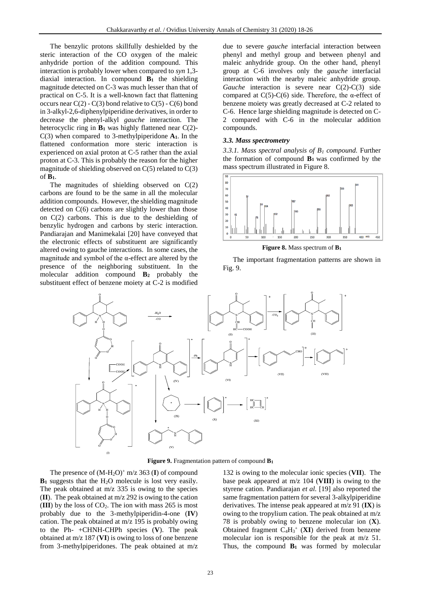The benzylic protons skillfully deshielded by the steric interaction of the CO oxygen of the maleic anhydride portion of the addition compound. This interaction is probably lower when compared to *syn* 1,3 diaxial interaction. In compound **B<sup>1</sup>** the shielding magnitude detected on C-3 was much lesser than that of practical on C-5. It is a well-known fact that flattening occurs near  $C(2)$  -  $C(3)$  bond relative to  $C(5)$  -  $C(6)$  bond in 3-alkyl-2,6-diphenylpiperidine derivatives, in order to decrease the phenyl-alkyl *gauche* interaction. The heterocyclic ring in **B<sup>1</sup>** was highly flattened near C(2)- C(3) when compared to 3-methylpiperidone **A1**. In the flattened conformation more steric interaction is experienced on axial proton at C-5 rather than the axial proton at C-3. This is probably the reason for the higher magnitude of shielding observed on  $C(5)$  related to  $C(3)$ of **B1**.

The magnitudes of shielding observed on C(2) carbons are found to be the same in all the molecular addition compounds. However, the shielding magnitude detected on  $C(6)$  carbons are slightly lower than those on C(2) carbons. This is due to the deshielding of benzylic hydrogen and carbons by steric interaction. Pandiarajan and Manimekalai [20] have conveyed that the electronic effects of substituent are significantly altered owing to gauche interactions. In some cases, the magnitude and symbol of the  $\alpha$ -effect are altered by the presence of the neighboring substituent. In the molecular addition compound **B<sup>2</sup>** probably the substituent effect of benzene moiety at C-2 is modified

due to severe *gauche* interfacial interaction between phenyl and methyl group and between phenyl and maleic anhydride group. On the other hand, phenyl group at C-6 involves only the *gauche* interfacial interaction with the nearby maleic anhydride group. *Gauche* interaction is severe near C(2)-C(3) side compared at  $C(5)$ -C(6) side. Therefore, the  $\alpha$ -effect of benzene moiety was greatly decreased at C-2 related to C-6. Hence large shielding magnitude is detected on C-2 compared with C-6 in the molecular addition compounds.

#### *3.3. Mass spectrometry*

*3.3.1. Mass spectral analysis of B<sup>1</sup> compound.* Further the formation of compound  $B_1$  was confirmed by the mass spectrum illustrated in Figure 8.



**Figure 8.** Mass spectrum of **B<sup>1</sup>**





**Figure 9.** Fragmentation pattern of compound **B<sup>1</sup>**

The presence of  $(M-H_2O)^+$  m/z 363 (I) of compound **B<sup>1</sup>** suggests that the H2O molecule is lost very easily. The peak obtained at  $m/z$  335 is owing to the species (**II**). The peak obtained at m/z 292 is owing to the cation (III) by the loss of  $CO<sub>2</sub>$ . The ion with mass 265 is most probably due to the 3-methylpiperidin-4-one (**IV**) cation. The peak obtained at m/z 195 is probably owing to the Ph- +CHNH-CHPh species (**V**). The peak obtained at m/z 187 (**VI**) is owing to loss of one benzene from 3-methylpiperidones. The peak obtained at m/z

132 is owing to the molecular ionic species (**VII**). The base peak appeared at m/z 104 (**VIII**) is owing to the styrene cation. Pandiarajan *et al.* [19] also reported the same fragmentation pattern for several 3-alkylpiperidine derivatives. The intense peak appeared at m/z 91 (**IX**) is owing to the tropylium cation. The peak obtained at m/z 78 is probably owing to benzene molecular ion (**X**). Obtained fragment  $C_4H_3^+$  (**XI**) derived from benzene molecular ion is responsible for the peak at m/z 51. Thus, the compound **B<sup>1</sup>** was formed by molecular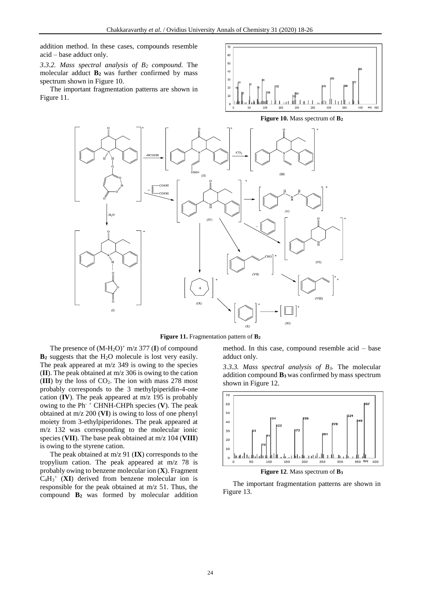addition method. In these cases, compounds resemble acid – base adduct only.

*3.3.2. Mass spectral analysis of B<sup>2</sup> compound.* The molecular adduct **B2** was further confirmed by mass spectrum shown in Figure 10.

The important fragmentation patterns are shown in Figure 11.





**Figure 11.** Fragmentation pattern of **B<sup>2</sup>**

 $\alpha$ 

The presence of  $(M-H<sub>2</sub>O)<sup>+</sup>$  m/z 377 (I) of compound **B<sup>2</sup>** suggests that the H2O molecule is lost very easily. The peak appeared at  $m/z$  349 is owing to the species (**II**). The peak obtained at m/z 306 is owing to the cation  $(III)$  by the loss of  $CO<sub>2</sub>$ . The ion with mass 278 most probably corresponds to the 3 methylpiperidin-4-one cation (**IV**). The peak appeared at m/z 195 is probably owing to the Ph- <sup>+</sup> CHNH-CHPh species (**V**). The peak obtained at m/z 200 (**VI**) is owing to loss of one phenyl moiety from 3-ethylpiperidones. The peak appeared at m/z 132 was corresponding to the molecular ionic species (**VII**). The base peak obtained at m/z 104 (**VIII**) is owing to the styrene cation.

The peak obtained at m/z 91 (**IX**) corresponds to the tropylium cation. The peak appeared at m/z 78 is probably owing to benzene molecular ion (**X**). Fragment  $C_4H_3$ <sup>+</sup> (**XI**) derived from benzene molecular ion is responsible for the peak obtained at m/z 51. Thus, the compound **B<sup>2</sup>** was formed by molecular addition

method. In this case, compound resemble acid – base adduct only.

*3.3.3. Mass spectral analysis of B3.* The molecular addition compound **B3** was confirmed by mass spectrum shown in Figure 12.



**Figure 12**. Mass spectrum of **B<sup>3</sup>**

The important fragmentation patterns are shown in Figure 13.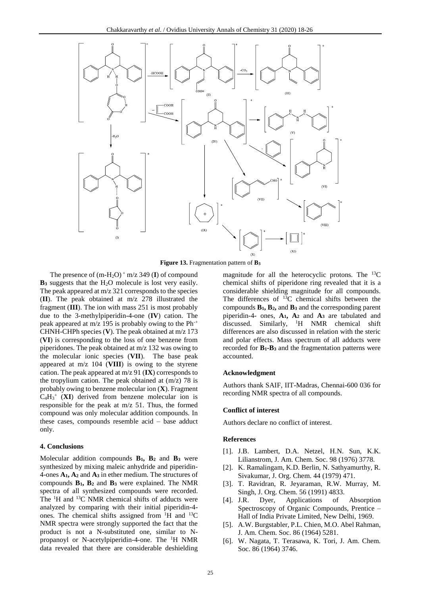

**Figure 13.** Fragmentation pattern of **B<sup>3</sup>**

The presence of  $(m-H_2O)^+$  m/z 349 (I) of compound **B**<sub>3</sub> suggests that the H<sub>2</sub>O molecule is lost very easily. The peak appeared at m/z 321 corresponds to the species (**II**). The peak obtained at m/z 278 illustrated the fragment (**III**). The ion with mass 251 is most probably due to the 3-methylpiperidin-4-one (**IV**) cation. The peak appeared at m/z 195 is probably owing to the Ph-+ CHNH-CHPh species (**V**). The peak obtained at m/z 173 (**VI**) is corresponding to the loss of one benzene from piperidones. The peak obtained at m/z 132 was owing to the molecular ionic species (**VII**). The base peak appeared at m/z 104 (**VIII**) is owing to the styrene cation. The peak appeared at m/z 91 (**IX**) corresponds to the tropylium cation. The peak obtained at (m/z) 78 is probably owing to benzene molecular ion (**X**). Fragment  $C_4H_3^+$  (XI) derived from benzene molecular ion is responsible for the peak at m/z 51. Thus, the formed compound was only molecular addition compounds. In these cases, compounds resemble acid – base adduct only.

## **4. Conclusions**

Molecular addition compounds **B1, B<sup>2</sup>** and **B<sup>3</sup>** were synthesized by mixing maleic anhydride and piperidin-4-ones **A1, A<sup>2</sup>** and **A<sup>3</sup>** in ether medium. The structures of compounds **B1, B<sup>2</sup>** and **B<sup>3</sup>** were explained. The NMR spectra of all synthesized compounds were recorded. The <sup>1</sup>H and <sup>13</sup>C NMR chemical shifts of adducts were analyzed by comparing with their initial piperidin-4 ones. The chemical shifts assigned from  $H$  and  $^{13}C$ NMR spectra were strongly supported the fact that the product is not a N-substituted one, similar to Npropanoyl or N-acetylpiperidin-4-one. The <sup>1</sup>H NMR data revealed that there are considerable deshielding

magnitude for all the heterocyclic protons. The  $^{13}$ C chemical shifts of piperidone ring revealed that it is a considerable shielding magnitude for all compounds. The differences of  $^{13}$ C chemical shifts between the compounds **B1, B2,** and **B<sup>3</sup>** and the corresponding parent piperidin-4- ones, **A1, A<sup>2</sup>** and **A<sup>3</sup>** are tabulated and discussed. Similarly, <sup>1</sup>H NMR chemical shift differences are also discussed in relation with the steric and polar effects. Mass spectrum of all adducts were recorded for **B1-B<sup>3</sup>** and the fragmentation patterns were accounted.

#### **Acknowledgment**

Authors thank SAIF, IIT-Madras, Chennai-600 036 for recording NMR spectra of all compounds.

#### **Conflict of interest**

Authors declare no conflict of interest.

#### **References**

- [1]. J.B. Lambert, D.A. Netzel, H.N. Sun, K.K. Lilianstrom, J. Am. Chem. Soc. 98 (1976) 3778.
- [2]. K. Ramalingam, K.D. Berlin, N. Sathyamurthy, R. Sivakumar, J. Org. Chem. 44 (1979) 471.
- [3]. T. Ravidran, R. Jeyaraman, R.W. Murray, M. Singh, J. Org. Chem. 56 (1991) 4833.
- [4]. J.R. Dyer, Applications of Absorption Spectroscopy of Organic Compounds, Prentice – Hall of India Private Limited, New Delhi, 1969.
- [5]. A.W. Burgstabler, P.L. Chien, M.O. Abel Rahman, J. Am. Chem. Soc. 86 (1964) 5281.
- [6]. W. Nagata, T. Terasawa, K. Tori, J. Am. Chem. Soc. 86 (1964) 3746.